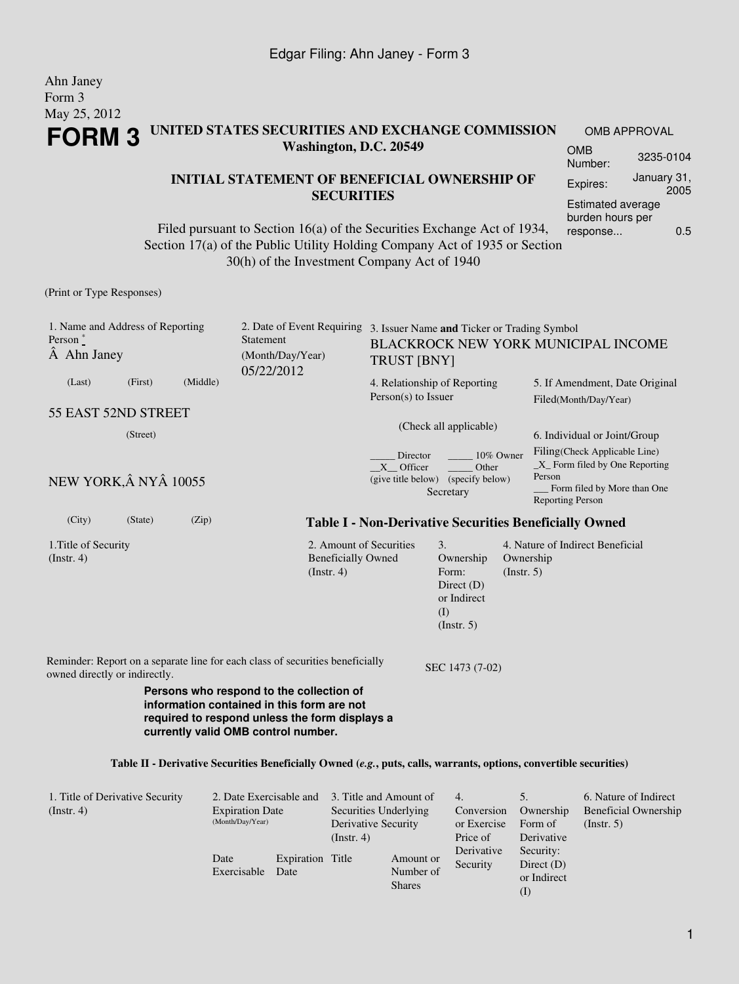#### Ahn Janey Form 3 May 25, 2012 **FORM 3 UNITED STATES SECURITIES AND EXCHANGE COMMISSION Washington, D.C. 20549** OMB

#### **INITIAL STATEMENT OF BENEFICIAL OWNERSHIP OF SECURITIES**

Filed pursuant to Section 16(a) of the Securities Exchange Act of 1934, Section 17(a) of the Public Utility Holding Company Act of 1935 or Section 30(h) of the Investment Company Act of 1940

(Print or Type Responses)

| 1. Name and Address of Reporting<br>Person $*$<br>A Ahn Janey |         |          | Statement<br>(Month/Day/Year)                                                                                                                                                   |                                                                                      | 2. Date of Event Requiring 3. Issuer Name and Ticker or Trading Symbol<br>BLACKROCK NEW YORK MUNICIPAL INCOME<br><b>TRUST [BNY]</b> |                                                       |                                                                                                                                                                        |  |  |  |
|---------------------------------------------------------------|---------|----------|---------------------------------------------------------------------------------------------------------------------------------------------------------------------------------|--------------------------------------------------------------------------------------|-------------------------------------------------------------------------------------------------------------------------------------|-------------------------------------------------------|------------------------------------------------------------------------------------------------------------------------------------------------------------------------|--|--|--|
| (Last)                                                        | (First) | (Middle) | 05/22/2012                                                                                                                                                                      |                                                                                      | 4. Relationship of Reporting<br>$Person(s)$ to Issuer                                                                               |                                                       | 5. If Amendment, Date Original<br>Filed(Month/Day/Year)                                                                                                                |  |  |  |
| 55 EAST 52ND STREET<br>(Street)<br>NEW YORK, Â NYÂ 10055      |         |          |                                                                                                                                                                                 |                                                                                      | (Check all applicable)<br>Director<br>10% Owner<br>X Officer<br>Other<br>(give title below) (specify below)<br>Secretary            |                                                       | 6. Individual or Joint/Group<br>Filing(Check Applicable Line)<br>$\_X$ Form filed by One Reporting<br>Person<br>Form filed by More than One<br><b>Reporting Person</b> |  |  |  |
|                                                               |         |          |                                                                                                                                                                                 |                                                                                      |                                                                                                                                     |                                                       |                                                                                                                                                                        |  |  |  |
| (City)                                                        | (State) | (Zip)    |                                                                                                                                                                                 |                                                                                      |                                                                                                                                     |                                                       | <b>Table I - Non-Derivative Securities Beneficially Owned</b>                                                                                                          |  |  |  |
| 1. Title of Security<br>(Instr. 4)                            |         |          | (Insert. 4)                                                                                                                                                                     | 2. Amount of Securities<br><b>Beneficially Owned</b>                                 | 3.<br>Ownership<br>Form:<br>Direct $(D)$<br>or Indirect<br>(I)<br>$($ Instr. 5 $)$                                                  | Ownership<br>(Insert. 5)                              | 4. Nature of Indirect Beneficial                                                                                                                                       |  |  |  |
| owned directly or indirectly.                                 |         |          | Reminder: Report on a separate line for each class of securities beneficially                                                                                                   |                                                                                      | SEC 1473 (7-02)                                                                                                                     |                                                       |                                                                                                                                                                        |  |  |  |
|                                                               |         |          | Persons who respond to the collection of<br>information contained in this form are not<br>required to respond unless the form displays a<br>currently valid OMB control number. |                                                                                      |                                                                                                                                     |                                                       |                                                                                                                                                                        |  |  |  |
|                                                               |         |          | Table II - Derivative Securities Beneficially Owned (e.g., puts, calls, warrants, options, convertible securities)                                                              |                                                                                      |                                                                                                                                     |                                                       |                                                                                                                                                                        |  |  |  |
| 1. Title of Derivative Security<br>(Instr. 4)                 |         |          | 2. Date Exercisable and<br><b>Expiration Date</b><br>(Month/Day/Year)<br>$-1$                                                                                                   | 3. Title and Amount of<br>Securities Underlying<br>Derivative Security<br>(Instr. 4) | 4.<br>Conversion<br>or Exercise<br>Price of<br>Derivative                                                                           | 5.<br>Ownership<br>Form of<br>Derivative<br>Security: | 6. Nature of Indirect<br><b>Beneficial Ownership</b><br>(Insert. 5)                                                                                                    |  |  |  |

Date

Exercisable Date

Expiration Title

Security

Amount or Number of Shares

Direct (D) or Indirect (I)

Number: 3235-0104 Expires: January 31, 2005 Estimated average burden hours per response... 0.5